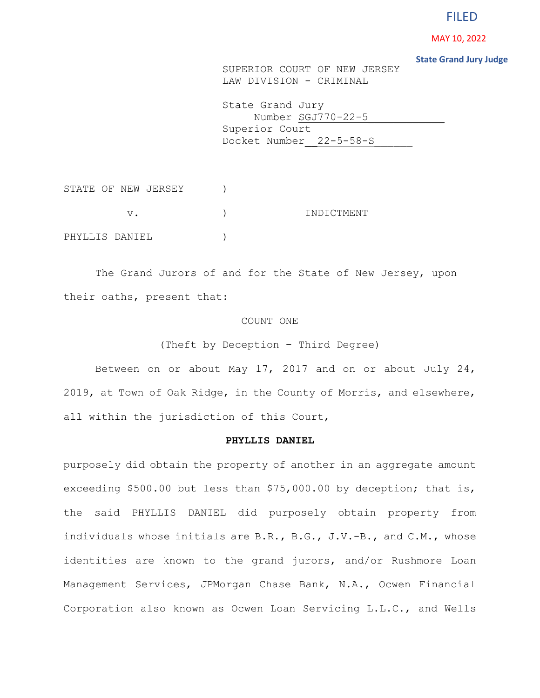# FILED

**MAY 10, 2022<br>State Grand Jury Judge** 

SUPERIOR COURT OF NEW JERSEY LAW DIVISION - CRIMINAL

State Grand Jury Number SGJ770-22-5 Superior Court Docket Number 22-5-58-S

STATE OF NEW JERSEY ) v. (a) and (b) in the set of  $\sim$  in the set of  $\sim$  in the set of  $\sim$  in the set of  $\sim$  in the set of  $\sim$  in the set of  $\sim$  in the set of  $\sim$  in the set of  $\sim$  in the set of  $\sim$  in the set of  $\sim$  in the set of  $\sim$ PHYLLIS DANIEL )

The Grand Jurors of and for the State of New Jersey, upon their oaths, present that:

## COUNT ONE

(Theft by Deception – Third Degree)

Between on or about May 17, 2017 and on or about July 24, 2019, at Town of Oak Ridge, in the County of Morris, and elsewhere, all within the jurisdiction of this Court,

## **PHYLLIS DANIEL**

purposely did obtain the property of another in an aggregate amount exceeding \$500.00 but less than \$75,000.00 by deception; that is, the said PHYLLIS DANIEL did purposely obtain property from individuals whose initials are B.R., B.G., J.V.-B., and C.M., whose identities are known to the grand jurors, and/or Rushmore Loan Management Services, JPMorgan Chase Bank, N.A., Ocwen Financial Corporation also known as Ocwen Loan Servicing L.L.C., and Wells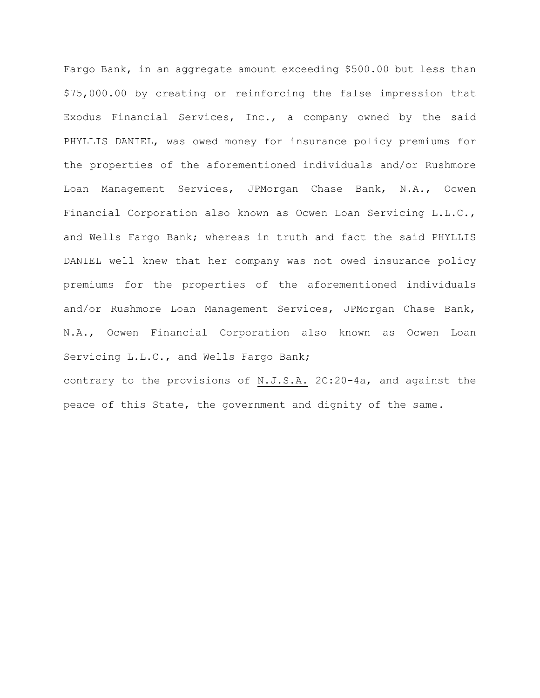Fargo Bank, in an aggregate amount exceeding \$500.00 but less than \$75,000.00 by creating or reinforcing the false impression that Exodus Financial Services, Inc., a company owned by the said PHYLLIS DANIEL, was owed money for insurance policy premiums for the properties of the aforementioned individuals and/or Rushmore Loan Management Services, JPMorgan Chase Bank, N.A., Ocwen Financial Corporation also known as Ocwen Loan Servicing L.L.C., and Wells Fargo Bank; whereas in truth and fact the said PHYLLIS DANIEL well knew that her company was not owed insurance policy premiums for the properties of the aforementioned individuals and/or Rushmore Loan Management Services, JPMorgan Chase Bank, N.A., Ocwen Financial Corporation also known as Ocwen Loan Servicing L.L.C., and Wells Fargo Bank; contrary to the provisions of N.J.S.A. 2C:20-4a, and against the

peace of this State, the government and dignity of the same.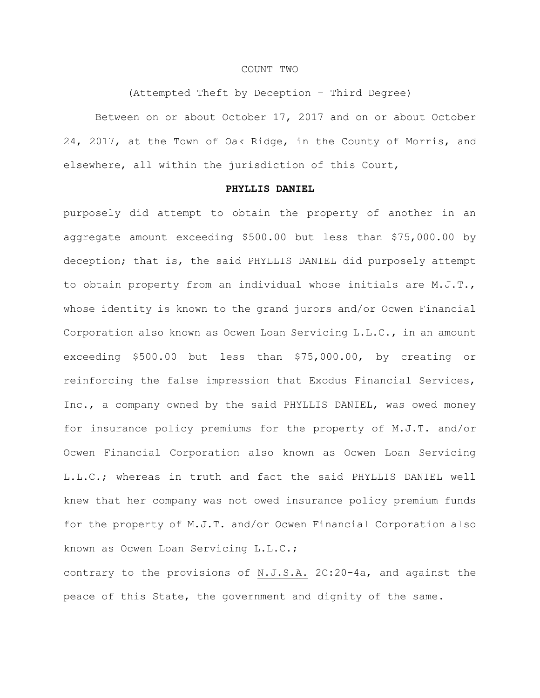## COUNT TWO

(Attempted Theft by Deception – Third Degree)

Between on or about October 17, 2017 and on or about October 24, 2017, at the Town of Oak Ridge, in the County of Morris, and elsewhere, all within the jurisdiction of this Court,

#### **PHYLLIS DANIEL**

purposely did attempt to obtain the property of another in an aggregate amount exceeding \$500.00 but less than \$75,000.00 by deception; that is, the said PHYLLIS DANIEL did purposely attempt to obtain property from an individual whose initials are M.J.T., whose identity is known to the grand jurors and/or Ocwen Financial Corporation also known as Ocwen Loan Servicing L.L.C., in an amount exceeding \$500.00 but less than \$75,000.00, by creating or reinforcing the false impression that Exodus Financial Services, Inc., a company owned by the said PHYLLIS DANIEL, was owed money for insurance policy premiums for the property of M.J.T. and/or Ocwen Financial Corporation also known as Ocwen Loan Servicing L.L.C.; whereas in truth and fact the said PHYLLIS DANIEL well knew that her company was not owed insurance policy premium funds for the property of M.J.T. and/or Ocwen Financial Corporation also known as Ocwen Loan Servicing L.L.C.;

contrary to the provisions of N.J.S.A. 2C:20-4a, and against the peace of this State, the government and dignity of the same.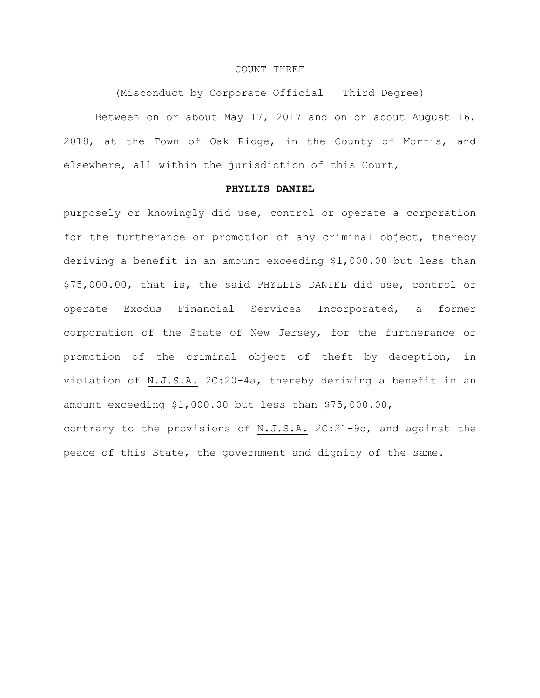## COUNT THREE

(Misconduct by Corporate Official – Third Degree)

Between on or about May 17, 2017 and on or about August 16, 2018, at the Town of Oak Ridge, in the County of Morris, and elsewhere, all within the jurisdiction of this Court,

## **PHYLLIS DANIEL**

purposely or knowingly did use, control or operate a corporation for the furtherance or promotion of any criminal object, thereby deriving a benefit in an amount exceeding \$1,000.00 but less than \$75,000.00, that is, the said PHYLLIS DANIEL did use, control or operate Exodus Financial Services Incorporated, a former corporation of the State of New Jersey, for the furtherance or promotion of the criminal object of theft by deception, in violation of N.J.S.A. 2C:20-4a, thereby deriving a benefit in an amount exceeding \$1,000.00 but less than \$75,000.00, contrary to the provisions of N.J.S.A. 2C:21-9c, and against the peace of this State, the government and dignity of the same.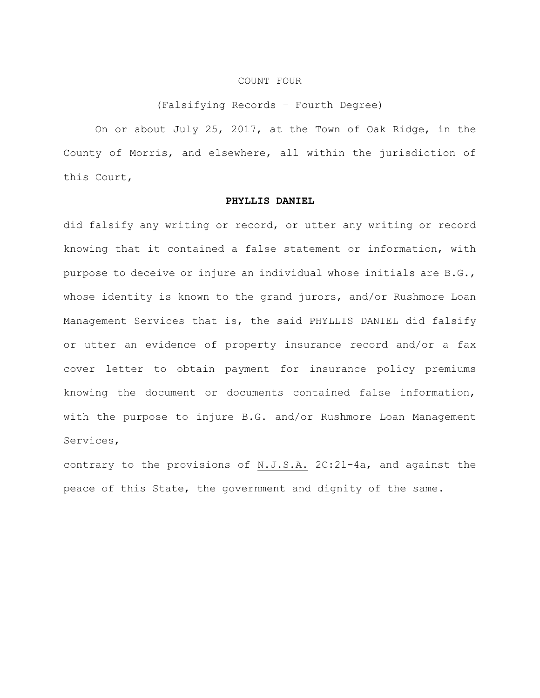#### COUNT FOUR

## (Falsifying Records – Fourth Degree)

On or about July 25, 2017, at the Town of Oak Ridge, in the County of Morris, and elsewhere, all within the jurisdiction of this Court,

## **PHYLLIS DANIEL**

did falsify any writing or record, or utter any writing or record knowing that it contained a false statement or information, with purpose to deceive or injure an individual whose initials are B.G., whose identity is known to the grand jurors, and/or Rushmore Loan Management Services that is, the said PHYLLIS DANIEL did falsify or utter an evidence of property insurance record and/or a fax cover letter to obtain payment for insurance policy premiums knowing the document or documents contained false information, with the purpose to injure B.G. and/or Rushmore Loan Management Services,

contrary to the provisions of N.J.S.A. 2C:21-4a, and against the peace of this State, the government and dignity of the same.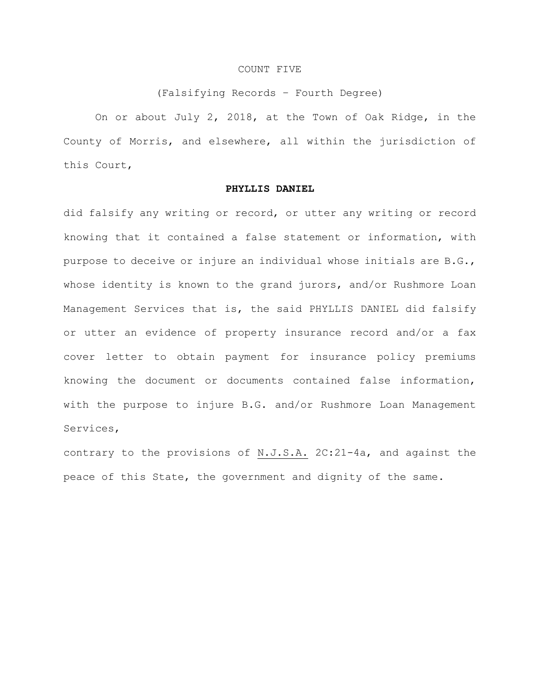## COUNT FIVE

#### (Falsifying Records – Fourth Degree)

On or about July 2, 2018, at the Town of Oak Ridge, in the County of Morris, and elsewhere, all within the jurisdiction of this Court,

#### **PHYLLIS DANIEL**

did falsify any writing or record, or utter any writing or record knowing that it contained a false statement or information, with purpose to deceive or injure an individual whose initials are B.G., whose identity is known to the grand jurors, and/or Rushmore Loan Management Services that is, the said PHYLLIS DANIEL did falsify or utter an evidence of property insurance record and/or a fax cover letter to obtain payment for insurance policy premiums knowing the document or documents contained false information, with the purpose to injure B.G. and/or Rushmore Loan Management Services,

contrary to the provisions of N.J.S.A. 2C:21-4a, and against the peace of this State, the government and dignity of the same.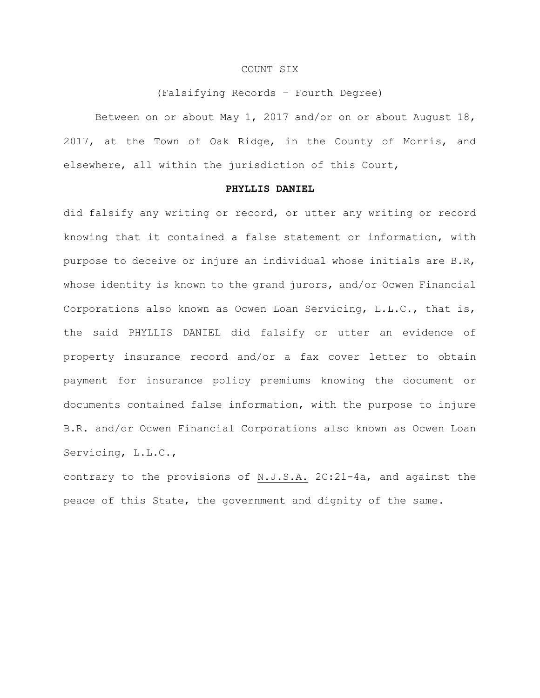#### COUNT SIX

#### (Falsifying Records – Fourth Degree)

Between on or about May 1, 2017 and/or on or about August 18, 2017, at the Town of Oak Ridge, in the County of Morris, and elsewhere, all within the jurisdiction of this Court,

#### **PHYLLIS DANIEL**

did falsify any writing or record, or utter any writing or record knowing that it contained a false statement or information, with purpose to deceive or injure an individual whose initials are B.R, whose identity is known to the grand jurors, and/or Ocwen Financial Corporations also known as Ocwen Loan Servicing, L.L.C., that is, the said PHYLLIS DANIEL did falsify or utter an evidence of property insurance record and/or a fax cover letter to obtain payment for insurance policy premiums knowing the document or documents contained false information, with the purpose to injure B.R. and/or Ocwen Financial Corporations also known as Ocwen Loan Servicing, L.L.C.,

contrary to the provisions of N.J.S.A. 2C:21-4a, and against the peace of this State, the government and dignity of the same.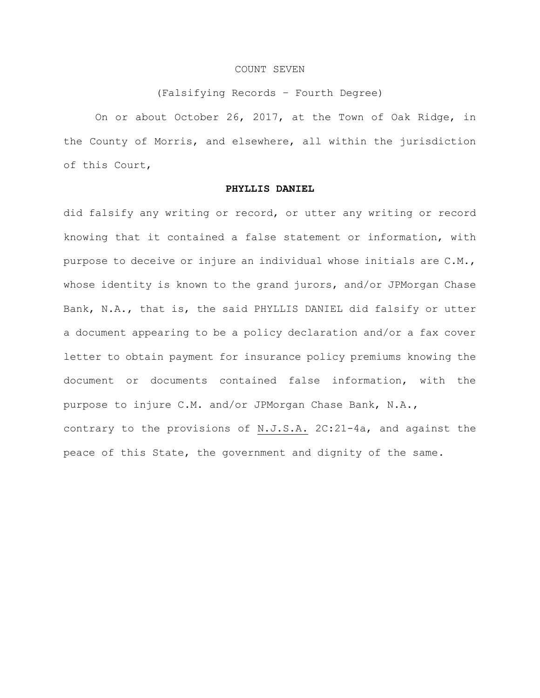## COUNT SEVEN

#### (Falsifying Records – Fourth Degree)

On or about October 26, 2017, at the Town of Oak Ridge, in the County of Morris, and elsewhere, all within the jurisdiction of this Court,

#### **PHYLLIS DANIEL**

did falsify any writing or record, or utter any writing or record knowing that it contained a false statement or information, with purpose to deceive or injure an individual whose initials are C.M., whose identity is known to the grand jurors, and/or JPMorgan Chase Bank, N.A., that is, the said PHYLLIS DANIEL did falsify or utter a document appearing to be a policy declaration and/or a fax cover letter to obtain payment for insurance policy premiums knowing the document or documents contained false information, with the purpose to injure C.M. and/or JPMorgan Chase Bank, N.A., contrary to the provisions of N.J.S.A. 2C:21-4a, and against the peace of this State, the government and dignity of the same.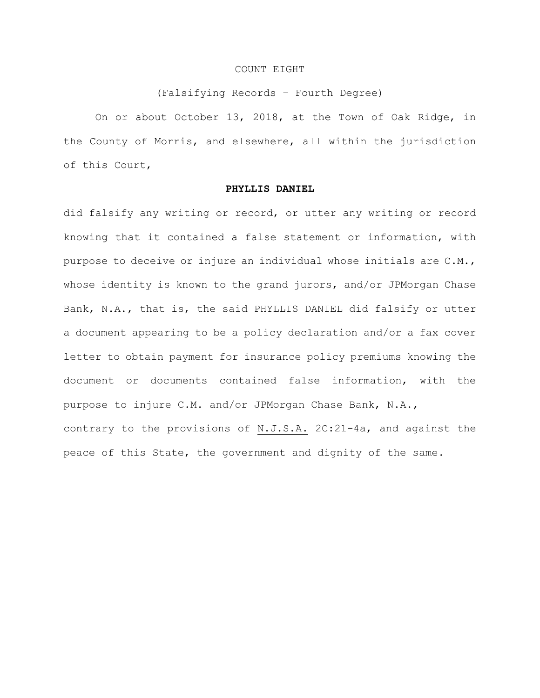## COUNT EIGHT

#### (Falsifying Records – Fourth Degree)

On or about October 13, 2018, at the Town of Oak Ridge, in the County of Morris, and elsewhere, all within the jurisdiction of this Court,

## **PHYLLIS DANIEL**

did falsify any writing or record, or utter any writing or record knowing that it contained a false statement or information, with purpose to deceive or injure an individual whose initials are C.M., whose identity is known to the grand jurors, and/or JPMorgan Chase Bank, N.A., that is, the said PHYLLIS DANIEL did falsify or utter a document appearing to be a policy declaration and/or a fax cover letter to obtain payment for insurance policy premiums knowing the document or documents contained false information, with the purpose to injure C.M. and/or JPMorgan Chase Bank, N.A., contrary to the provisions of N.J.S.A. 2C:21-4a, and against the peace of this State, the government and dignity of the same.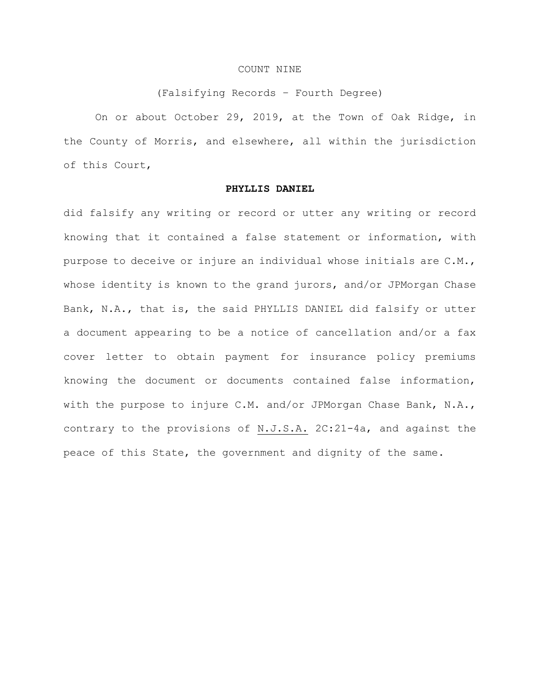## COUNT NINE

#### (Falsifying Records – Fourth Degree)

On or about October 29, 2019, at the Town of Oak Ridge, in the County of Morris, and elsewhere, all within the jurisdiction of this Court,

## **PHYLLIS DANIEL**

did falsify any writing or record or utter any writing or record knowing that it contained a false statement or information, with purpose to deceive or injure an individual whose initials are C.M., whose identity is known to the grand jurors, and/or JPMorgan Chase Bank, N.A., that is, the said PHYLLIS DANIEL did falsify or utter a document appearing to be a notice of cancellation and/or a fax cover letter to obtain payment for insurance policy premiums knowing the document or documents contained false information, with the purpose to injure C.M. and/or JPMorgan Chase Bank, N.A., contrary to the provisions of N.J.S.A. 2C:21-4a, and against the peace of this State, the government and dignity of the same.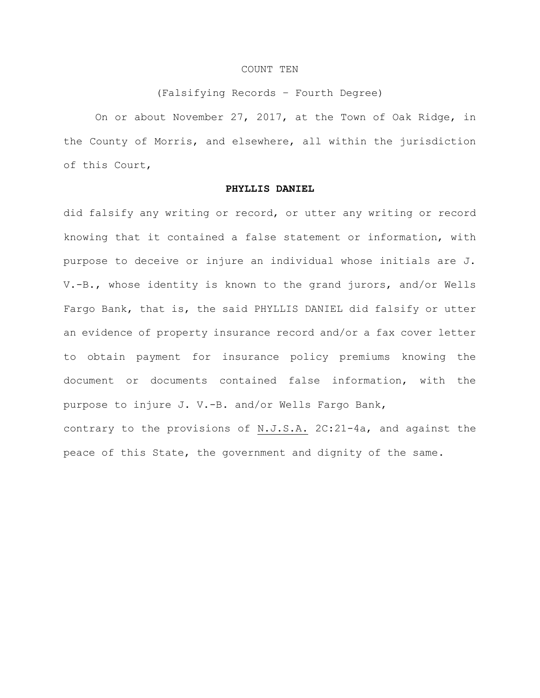#### COUNT TEN

#### (Falsifying Records – Fourth Degree)

On or about November 27, 2017, at the Town of Oak Ridge, in the County of Morris, and elsewhere, all within the jurisdiction of this Court,

## **PHYLLIS DANIEL**

did falsify any writing or record, or utter any writing or record knowing that it contained a false statement or information, with purpose to deceive or injure an individual whose initials are J. V.-B., whose identity is known to the grand jurors, and/or Wells Fargo Bank, that is, the said PHYLLIS DANIEL did falsify or utter an evidence of property insurance record and/or a fax cover letter to obtain payment for insurance policy premiums knowing the document or documents contained false information, with the purpose to injure J. V.-B. and/or Wells Fargo Bank, contrary to the provisions of N.J.S.A. 2C:21-4a, and against the peace of this State, the government and dignity of the same.